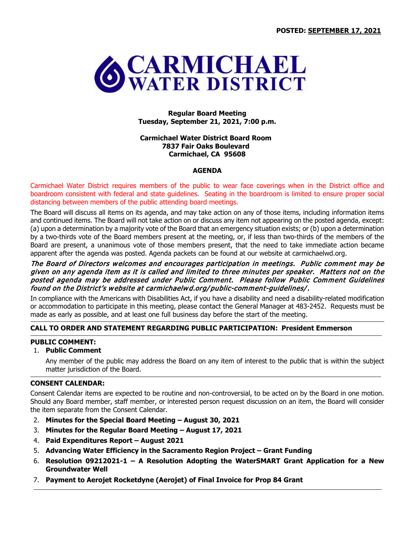

**Regular Board Meeting Tuesday, September 21, 2021, 7:00 p.m.**

### **Carmichael Water District Board Room 7837 Fair Oaks Boulevard Carmichael, CA 95608**

### **AGENDA**

Carmichael Water District requires members of the public to wear face coverings when in the District office and boardroom consistent with federal and state guidelines. Seating in the boardroom is limited to ensure proper social distancing between members of the public attending board meetings.

The Board will discuss all items on its agenda, and may take action on any of those items, including information items and continued items. The Board will not take action on or discuss any item not appearing on the posted agenda, except: (a) upon a determination by a majority vote of the Board that an emergency situation exists; or (b) upon a determination by a two-thirds vote of the Board members present at the meeting, or, if less than two-thirds of the members of the Board are present, a unanimous vote of those members present, that the need to take immediate action became apparent after the agenda was posted. Agenda packets can be found at our website at carmichaelwd.org.

### The Board of Directors welcomes and encourages participation in meetings. Public comment may be given on any agenda item as it is called and limited to three minutes per speaker. Matters not on the posted agenda may be addressed under Public Comment. Please follow Public Comment Guidelines found on the District's website at carmichaelwd.org/ public-comment-guidelines/.

In compliance with the Americans with Disabilities Act, if you have a disability and need a disability-related modification or accommodation to participate in this meeting, please contact the General Manager at 483-2452. Requests must be made as early as possible, and at least one full business day before the start of the meeting.

# **CALL TO ORDER AND STATEMENT REGARDING PUBLIC PARTICIPATION: President Emmerson**

# **PUBLIC COMMENT:**

# 1. **Public Comment**

Any member of the public may address the Board on any item of interest to the public that is within the subject matter jurisdiction of the Board.

# **CONSENT CALENDAR:**

Consent Calendar items are expected to be routine and non-controversial, to be acted on by the Board in one motion. Should any Board member, staff member, or interested person request discussion on an item, the Board will consider the item separate from the Consent Calendar.

- 2. **Minutes for the Special Board Meeting – August 30, 2021**
- 3. **Minutes for the Regular Board Meeting – August 17, 2021**
- 4. **Paid Expenditures Report – August 2021**
- 5. **Advancing Water Efficiency in the Sacramento Region Project – Grant Funding**
- 6. **Resolution 09212021-1 – A Resolution Adopting the WaterSMART Grant Application for a New Groundwater Well**
- 7. **Payment to Aerojet Rocketdyne (Aerojet) of Final Invoice for Prop 84 Grant**